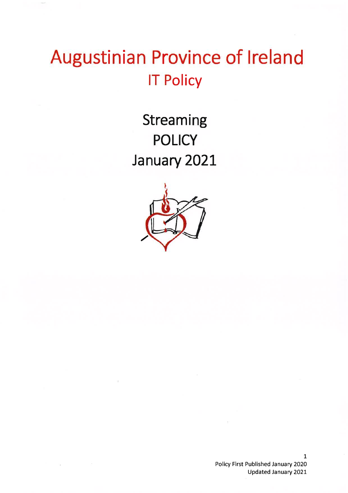## Augustinian Province of Ireland **IT Policy**

**Streaming POLICY** January 2021

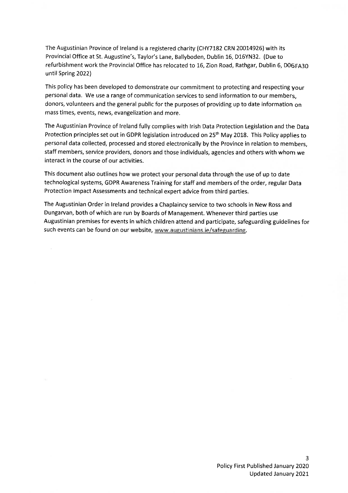The Augustinian Province of Ireland is a registered charity (CHY7182 CRN 20014926) with its Provincial Office at St. Augustine's, Taylor's Lane, Ballyboden, Dublin 16, D16YN32. (Due to refurbishment work the Provincial Office has relocated to 16, Zion Road, Rathgar, Dublin 6, D06FA30 until Spring 2022)

This policy has been developed to demonstrate our commitment to protecting and respecting your personal data. We use a range of communication services to send information to our members. donors, volunteers and the general public for the purposes of providing up to date information on mass times, events, news, evangelization and more.

The Augustinian Province of Ireland fully complies with Irish Data Protection Legislation and the Data Protection principles set out in GDPR legislation introduced on 25<sup>th</sup> May 2018. This Policy applies to personal data collected, processed and stored electronically by the Province in relation to members, staff members, service providers, donors and those individuals, agencies and others with whom we interact in the course of our activities.

This document also outlines how we protect your personal data through the use of up to date technological systems, GDPR Awareness Training for staff and members of the order, regular Data Protection Impact Assessments and technical expert advice from third parties.

The Augustinian Order in Ireland provides a Chaplaincy service to two schools in New Ross and Dungarvan, both of which are run by Boards of Management. Whenever third parties use Augustinian premises for events in which children attend and participate, safeguarding guidelines for such events can be found on our website, www.augustinians.ie/safeguarding.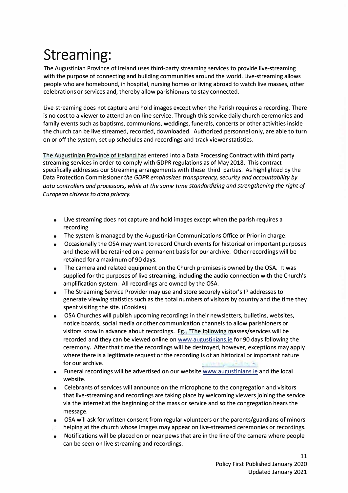### **Streaming:**

The Augustinian Province of Ireland uses third-party streaming services to provide live-streaming with the purpose of connecting and building communities around the world. Live-streaming allows people who are homebound, in hospital, nursing homes or living abroad to watch live masses, other celebrations or services and, thereby allow parishioners to stay connected.

Live-streaming does not capture and hold images except when the Parish requires a recording. There is no cost to a viewer to attend an on-line service. Through this service daily church ceremonies and family events such as baptisms, communions, weddings, funerals, concerts or other activities inside the church can be live streamed, recorded, downloaded. Authorized personnel only, are able to turn on or off the system, set up schedules and recordings and track viewer statistics.

The Augustinian Province of Ireland has entered into a Data Processing Contract with third party streaming services in order to comply with GDPR regulations as of May 2018. This contract specifically addresses our Streaming arrangements with these third parties. As highlighted by the Data Protection Commissioner *the GDPR emphasizes transparency, security and accountability by data controllers and processors, while at the same time standardizing and strengthening the right of European citizens to data privacy.* 

- Live streaming does not capture and hold images except when the parish requires a recording
- The system is managed by the Augustinian Communications Office or Prior in charge.
- Occasionally the OSA may want to record Church events for historical or important purposes and these will be retained on a permanent basis for our archive. Other recordings will be retained for a maximum of 90 days.
- The camera and related equipment on the Church premises is owned by the OSA. It was supplied for the purposes of live streaming, including the audio connection with the Church's amplification system. All recordings are owned by the OSA.
- The Streaming Service Provider may use and store securely visitor's IP addresses to generate viewing statistics such as the total numbers of visitors by country and the time they spent visiting the site. (Cookies)
- OSA Churches will publish upcoming recordings in their newsletters, bulletins, websites, notice boards, social media or other communication channels to allow parishioners or visitors know in advance about recordings. Eg., "The following masses/services will be recorded and they can be viewed online on www.augustinians.ie for 90 days following the ceremony. After that time the recordings will be destroyed, however, exceptions may apply where there is a legitimate request or the recording is of an historical or important nature for our archive.
- Funeral recordings will be advertised on our website www.augustinians.ie and the local website.
- Celebrants of services will announce on the microphone to the congregation and visitors that live-streaming and recordings are taking place by welcoming viewers joining the service via the internet at the beginning of the mass or service and so the congregation hears the message.
- OSA will ask for written consent from regular volunteers or the parents/guardians of minors helping at the church whose images may appear on live-streamed ceremonies or recordings.
- Notifications will be placed on or near pews that are in the line of the camera where people can be seen on live streaming and recordings.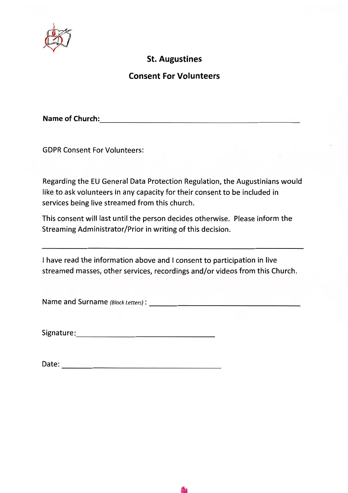

#### **St. Augustines**

#### **Consent For Volunteers**

Name of Church: Name of Church:

**GDPR Consent For Volunteers:** 

Regarding the EU General Data Protection Regulation, the Augustinians would like to ask volunteers in any capacity for their consent to be included in services being live streamed from this church.

This consent will last until the person decides otherwise. Please inform the Streaming Administrator/Prior in writing of this decision.

I have read the information above and I consent to participation in live streamed masses, other services, recordings and/or videos from this Church.

Signature: Signature: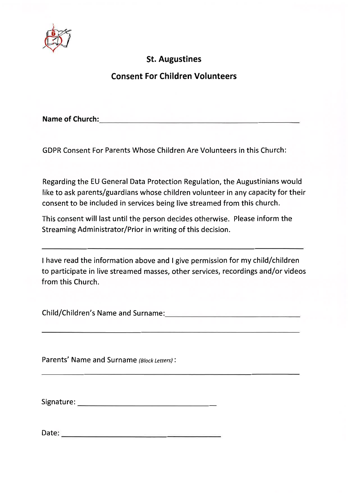

#### **St. Augustines**

#### **Consent For Children Volunteers**

Name of Church: Name of Church:

**GDPR Consent For Parents Whose Children Are Volunteers in this Church:** 

Regarding the EU General Data Protection Regulation, the Augustinians would like to ask parents/guardians whose children volunteer in any capacity for their consent to be included in services being live streamed from this church.

This consent will last until the person decides otherwise. Please inform the Streaming Administrator/Prior in writing of this decision.

I have read the information above and I give permission for my child/children to participate in live streamed masses, other services, recordings and/or videos from this Church.

Child/Children's Name and Surname: Child/Children's Name and Surname:

Parents' Name and Surname (Block Letters):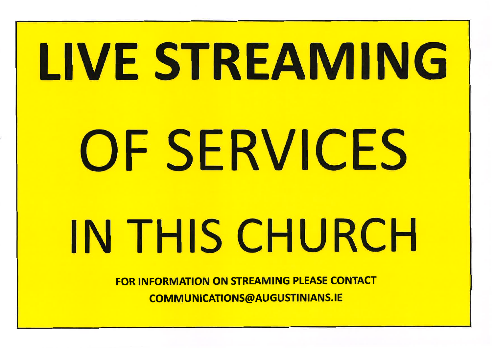# LIVE STREAMING OF SERVICES IN THIS CHURCH

**FOR INFORMATION ON STREAMING PLEASE CONTACT COMMUNICATIONS@AUGUSTINIANS.IE**